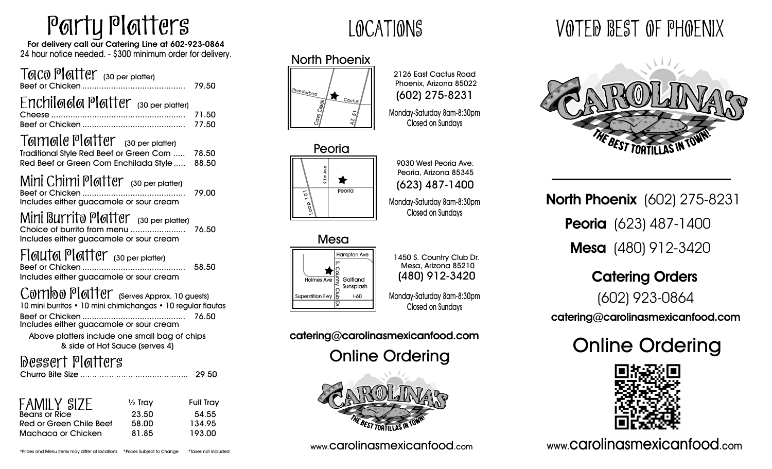# Party Platters

For delivery call our Catering Line at 602-923-0864 24 hour notice needed. - \$300 minimum order for delivery.

#### Taco Platter (30 per platter) Beef or Chicken ........................................... 79.50  $Enchil$ ada Platter (30 per platter) Cheese ........................................................ 71.50 Beef or Chicken ........................................... 77.50 Tamale Platter (30 per platter) Red Beef or Green Corn Enchilada Style..... 88.50 Traditional Style Red Beef or Green Corn ..... 78.50

# Mini Chimi Platter (30 per platter)

|                                         | 79.00 |
|-----------------------------------------|-------|
| Includes either guacamole or sour cream |       |
| المستحدث الحافظ المتابعة                |       |

MINI BULLITO POTTEL 130 per platter) Choice of burrito from menu ....................... 76.50 Includes either guacamole or sour cream

# Flauta Platter (30 per platter)

|                                         |  | . | 58.50 |
|-----------------------------------------|--|---|-------|
| Includes either guacamole or sour cream |  |   |       |

# Combo Platter (Serves Approx. 10 guests)

| 10 mini burritos • 10 mini chimichangas • 10 regular flautas |       |
|--------------------------------------------------------------|-------|
|                                                              | 76.50 |
| Includes either guacamole or sour cream                      |       |

Above platters include one small bag of chips & side of Hot Sauce (serves 4)

# Dessert Platters

| <b>FAMILY SIZE</b>      | $\frac{1}{2}$ Tray | <b>Full Tray</b> |
|-------------------------|--------------------|------------------|
| <b>Beans or Rice</b>    | 23.50              | 54.55            |
| Red or Green Chile Beef | 58.00              | 134.95           |
| Machaca or Chicken      | 81.85              | 193.00           |

# LOCATIONS

# North Phoenix





9030 West Peoria Ave. Peoria, Arizona 85345 (623) 487-1400 Monday-Saturday 8am-8:30pm Closed on Sundays

2126 East Cactus Road Phoenix, Arizona 85022 (602) 275-8231

Monday-Saturday 8am-8:30pm Closed on Sundays

#### Mesa **Golfland** Sunsplash Holmes Ave Hampton Ave Superstition Fwy I-60<br>Superstition Fwy I-60<br>Superstition Fwy I-60

(480) 912-3420 1450 S. Country Club Dr. Mesa, Arizona 85210 Monday-Saturday 8am-8:30pm

Closed on Sundays

catering@carolinasmexicanfood.com



# VOTED BEST OF PHOENIX



**North Phoenix** (602) 275-8231 Peoria (623) 487-1400 Mesa (480) 912-3420

> Catering Orders (602) 923-0864

catering@carolinasmexicanfood.com

**Online Ordering Conline Ordering**<br>
Online Ordering



www.carolinasmexicanfood.com www.carolinasmexicanfood.com